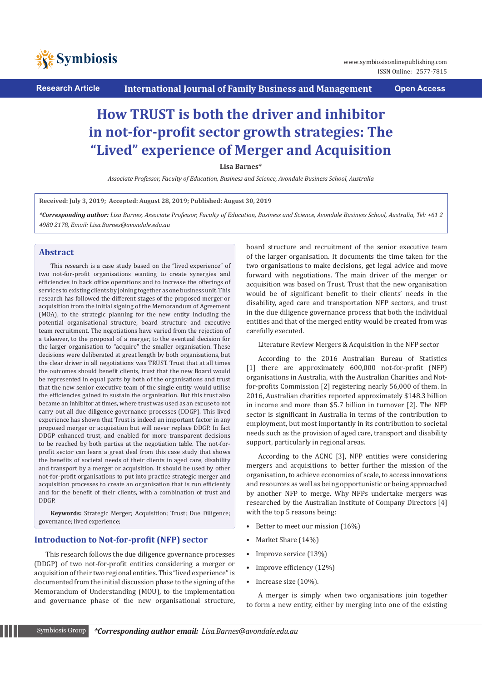

ISSN Online: 2577-7815

# **How TRUST is both the driver and inhibitor in not-for-profit sector growth strategies: The "Lived" experience of Merger and Acquisition**

**Lisa Barnes\***

*Associate Professor, Faculty of Education, Business and Science, Avondale Business School, Australia*

**Received: July 3, 2019; Accepted: August 28, 2019; Published: August 30, 2019**

*\*Corresponding author: Lisa Barnes, Associate Professor, Faculty of Education, Business and Science, Avondale Business School, Australia, Tel: +61 2 4980 2178, Email: Lisa.Barnes@avondale.edu.au*

## **Abstract**

This research is a case study based on the "lived experience" of two not-for-profit organisations wanting to create synergies and efficiencies in back office operations and to increase the offerings of services to existing clients by joining together as one business unit. This research has followed the different stages of the proposed merger or acquisition from the initial signing of the Memorandum of Agreement (MOA), to the strategic planning for the new entity including the potential organisational structure, board structure and executive team recruitment. The negotiations have varied from the rejection of a takeover, to the proposal of a merger, to the eventual decision for the larger organisation to "acquire" the smaller organisation. These decisions were deliberated at great length by both organisations, but the clear driver in all negotiations was TRUST. Trust that at all times the outcomes should benefit clients, trust that the new Board would be represented in equal parts by both of the organisations and trust that the new senior executive team of the single entity would utilise the efficiencies gained to sustain the organisation. But this trust also became an inhibitor at times, where trust was used as an excuse to not carry out all due diligence governance processes (DDGP). This lived experience has shown that Trust is indeed an important factor in any proposed merger or acquisition but will never replace DDGP. In fact DDGP enhanced trust, and enabled for more transparent decisions to be reached by both parties at the negotiation table. The not-forprofit sector can learn a great deal from this case study that shows the benefits of societal needs of their clients in aged care, disability and transport by a merger or acquisition. It should be used by other not-for-profit organisations to put into practice strategic merger and acquisition processes to create an organisation that is run efficiently and for the benefit of their clients, with a combination of trust and DDGP.

**Keywords:** Strategic Merger; Acquisition; Trust; Due Diligence; governance; lived experience;

#### **Introduction to Not-for-profit (NFP) sector**

This research follows the due diligence governance processes (DDGP) of two not-for-profit entities considering a merger or acquisition of their two regional entities. This "lived experience" is documented from the initial discussion phase to the signing of the Memorandum of Understanding (MOU), to the implementation and governance phase of the new organisational structure,

board structure and recruitment of the senior executive team of the larger organisation. It documents the time taken for the two organisations to make decisions, get legal advice and move forward with negotiations. The main driver of the merger or acquisition was based on Trust. Trust that the new organisation would be of significant benefit to their clients' needs in the disability, aged care and transportation NFP sectors, and trust in the due diligence governance process that both the individual entities and that of the merged entity would be created from was carefully executed.

Literature Review Mergers & Acquisition in the NFP sector

According to the 2016 Australian Bureau of Statistics [1] there are approximately 600,000 not-for-profit (NFP) organisations in Australia, with the Australian Charities and Notfor-profits Commission [2] registering nearly 56,000 of them. In 2016, Australian charities reported approximately \$148.3 billion in income and more than \$5.7 billion in turnover [2]. The NFP sector is significant in Australia in terms of the contribution to employment, but most importantly in its contribution to societal needs such as the provision of aged care, transport and disability support, particularly in regional areas.

According to the ACNC [3], NFP entities were considering mergers and acquisitions to better further the mission of the organisation, to achieve economies of scale, to access innovations and resources as well as being opportunistic or being approached by another NFP to merge. Why NFPs undertake mergers was researched by the Australian Institute of Company Directors [4] with the top 5 reasons being:

- Better to meet our mission (16%)
- Market Share (14%)
- Improve service (13%)
- Improve efficiency (12%)
- Increase size (10%).

A merger is simply when two organisations join together to form a new entity, either by merging into one of the existing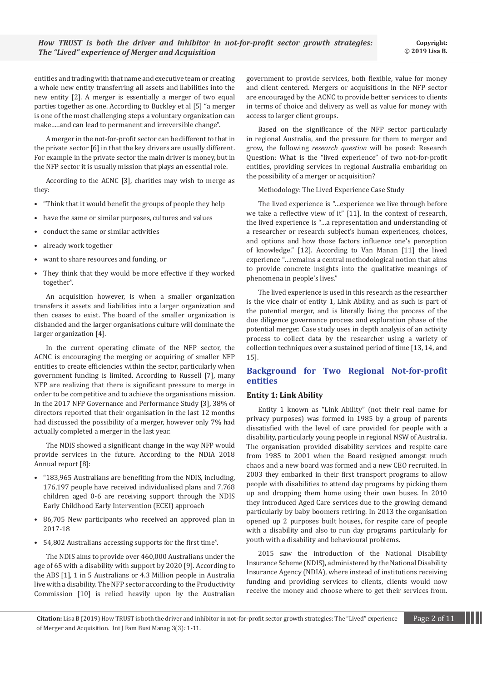entities and trading with that name and executive team or creating a whole new entity transferring all assets and liabilities into the new entity [2]. A merger is essentially a merger of two equal parties together as one. According to Buckley et al [5] "a merger is one of the most challenging steps a voluntary organization can make…..and can lead to permanent and irreversible change".

A merger in the not-for-profit sector can be different to that in the private sector [6] in that the key drivers are usually different. For example in the private sector the main driver is money, but in the NFP sector it is usually mission that plays an essential role.

According to the ACNC [3], charities may wish to merge as they:

- "Think that it would benefit the groups of people they help
- have the same or similar purposes, cultures and values
- conduct the same or similar activities
- already work together
- want to share resources and funding, or
- They think that they would be more effective if they worked together".

An acquisition however, is when a smaller organization transfers it assets and liabilities into a larger organization and then ceases to exist. The board of the smaller organization is disbanded and the larger organisations culture will dominate the larger organization [4].

In the current operating climate of the NFP sector, the ACNC is encouraging the merging or acquiring of smaller NFP entities to create efficiencies within the sector, particularly when government funding is limited. According to Russell [7], many NFP are realizing that there is significant pressure to merge in order to be competitive and to achieve the organisations mission. In the 2017 NFP Governance and Performance Study [3], 38% of directors reported that their organisation in the last 12 months had discussed the possibility of a merger, however only 7% had actually completed a merger in the last year.

The NDIS showed a significant change in the way NFP would provide services in the future. According to the NDIA 2018 Annual report [8]:

- "183,965 Australians are benefiting from the NDIS, including, 176,197 people have received individualised plans and 7,768 children aged 0-6 are receiving support through the NDIS Early Childhood Early Intervention (ECEI) approach
- 86,705 New participants who received an approved plan in 2017-18
- 54,802 Australians accessing supports for the first time".

The NDIS aims to provide over 460,000 Australians under the age of 65 with a disability with support by 2020 [9]. According to the ABS [1], 1 in 5 Australians or 4.3 Million people in Australia live with a disability. The NFP sector according to the Productivity Commission [10] is relied heavily upon by the Australian government to provide services, both flexible, value for money and client centered. Mergers or acquisitions in the NFP sector are encouraged by the ACNC to provide better services to clients in terms of choice and delivery as well as value for money with access to larger client groups.

Based on the significance of the NFP sector particularly in regional Australia, and the pressure for them to merger and grow, the following *research question* will be posed: Research Question: What is the "lived experience" of two not-for-profit entities, providing services in regional Australia embarking on the possibility of a merger or acquisition?

Methodology: The Lived Experience Case Study

The lived experience is "…experience we live through before we take a reflective view of it" [11]. In the context of research, the lived experience is "…a representation and understanding of a researcher or research subject's human experiences, choices, and options and how those factors influence one's perception of knowledge." [12]. According to Van Manan [11] the lived experience "…remains a central methodological notion that aims to provide concrete insights into the qualitative meanings of phenomena in people's lives."

The lived experience is used in this research as the researcher is the vice chair of entity 1, Link Ability, and as such is part of the potential merger, and is literally living the process of the due diligence governance process and exploration phase of the potential merger. Case study uses in depth analysis of an activity process to collect data by the researcher using a variety of collection techniques over a sustained period of time [13, 14, and 15].

## **Background for Two Regional Not-for-profit entities**

## **Entity 1: Link Ability**

Entity 1 known as "Link Ability" (not their real name for privacy purposes) was formed in 1985 by a group of parents dissatisfied with the level of care provided for people with a disability, particularly young people in regional NSW of Australia. The organisation provided disability services and respite care from 1985 to 2001 when the Board resigned amongst much chaos and a new board was formed and a new CEO recruited. In 2003 they embarked in their first transport programs to allow people with disabilities to attend day programs by picking them up and dropping them home using their own buses. In 2010 they introduced Aged Care services due to the growing demand particularly by baby boomers retiring. In 2013 the organisation opened up 2 purposes built houses, for respite care of people with a disability and also to run day programs particularly for youth with a disability and behavioural problems.

2015 saw the introduction of the National Disability Insurance Scheme (NDIS), administered by the National Disability Insurance Agency (NDIA), where instead of institutions receiving funding and providing services to clients, clients would now receive the money and choose where to get their services from.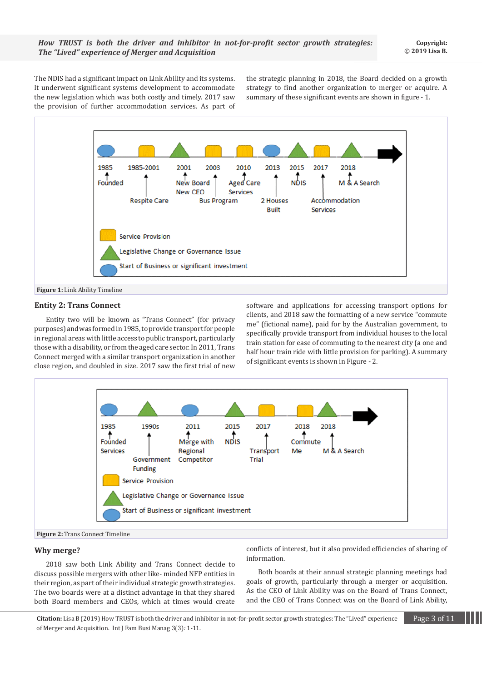The NDIS had a significant impact on Link Ability and its systems. It underwent significant systems development to accommodate the new legislation which was both costly and timely. 2017 saw the provision of further accommodation services. As part of the strategic planning in 2018, the Board decided on a growth strategy to find another organization to merger or acquire. A summary of these significant events are shown in figure - 1.



## **Entity 2: Trans Connect**

Entity two will be known as "Trans Connect" (for privacy purposes) and was formed in 1985, to provide transport for people in regional areas with little access to public transport, particularly those with a disability, or from the aged care sector. In 2011, Trans Connect merged with a similar transport organization in another close region, and doubled in size. 2017 saw the first trial of new software and applications for accessing transport options for clients, and 2018 saw the formatting of a new service "commute me" (fictional name), paid for by the Australian government, to specifically provide transport from individual houses to the local train station for ease of commuting to the nearest city (a one and half hour train ride with little provision for parking). A summary of significant events is shown in Figure - 2.





#### **Why merge?**

2018 saw both Link Ability and Trans Connect decide to discuss possible mergers with other like- minded NFP entities in their region, as part of their individual strategic growth strategies. The two boards were at a distinct advantage in that they shared both Board members and CEOs, which at times would create conflicts of interest, but it also provided efficiencies of sharing of information.

Both boards at their annual strategic planning meetings had goals of growth, particularly through a merger or acquisition. As the CEO of Link Ability was on the Board of Trans Connect, and the CEO of Trans Connect was on the Board of Link Ability,

**Citation:** Lisa B (2019) How TRUST is both the driver and inhibitor in not-for-profit sector growth strategies: The "Lived" experience Page 3 of 11 of Merger and Acquisition. Int J Fam Busi Manag 3(3)*:* 1*-*11.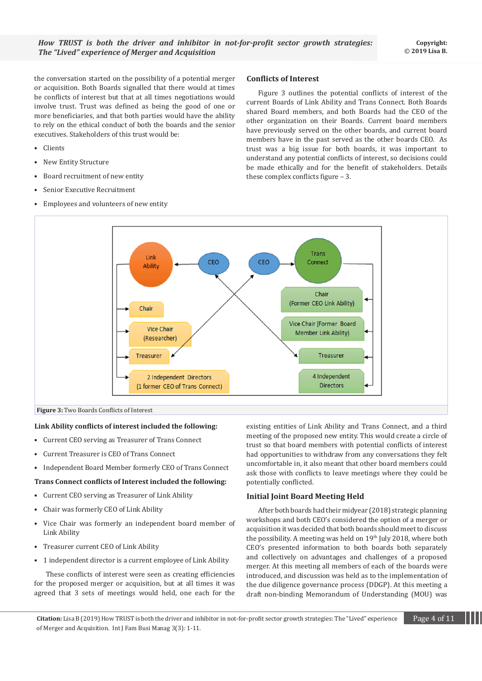the conversation started on the possibility of a potential merger or acquisition. Both Boards signalled that there would at times be conflicts of interest but that at all times negotiations would involve trust. Trust was defined as being the good of one or more beneficiaries, and that both parties would have the ability to rely on the ethical conduct of both the boards and the senior executives. Stakeholders of this trust would be:

- Clients
- New Entity Structure
- Board recruitment of new entity
- Senior Executive Recruitment
- Employees and volunteers of new entity

## **Conflicts of Interest**

Figure 3 outlines the potential conflicts of interest of the current Boards of Link Ability and Trans Connect. Both Boards shared Board members, and both Boards had the CEO of the other organization on their Boards. Current board members have previously served on the other boards, and current board members have in the past served as the other boards CEO. As trust was a big issue for both boards, it was important to understand any potential conflicts of interest, so decisions could be made ethically and for the benefit of stakeholders. Details these complex conflicts figure – 3.



**Figure 3:** Two Boards Conflicts of Interest

#### **Link Ability conflicts of interest included the following:**

- Current CEO serving as Treasurer of Trans Connect
- Current Treasurer is CEO of Trans Connect
- Independent Board Member formerly CEO of Trans Connect

#### **Trans Connect conflicts of Interest included the following:**

- Current CEO serving as Treasurer of Link Ability
- Chair was formerly CEO of Link Ability
- Vice Chair was formerly an independent board member of Link Ability
- Treasurer current CEO of Link Ability
- 1 independent director is a current employee of Link Ability

These conflicts of interest were seen as creating efficiencies for the proposed merger or acquisition, but at all times it was agreed that 3 sets of meetings would held, one each for the

existing entities of Link Ability and Trans Connect, and a third meeting of the proposed new entity. This would create a circle of trust so that board members with potential conflicts of interest had opportunities to withdraw from any conversations they felt uncomfortable in, it also meant that other board members could ask those with conflicts to leave meetings where they could be potentially conflicted.

## **Initial Joint Board Meeting Held**

After both boards had their midyear (2018) strategic planning workshops and both CEO's considered the option of a merger or acquisition it was decided that both boards should meet to discuss the possibility. A meeting was held on 19th July 2018, where both CEO's presented information to both boards both separately and collectively on advantages and challenges of a proposed merger. At this meeting all members of each of the boards were introduced, and discussion was held as to the implementation of the due diligence governance process (DDGP). At this meeting a draft non-binding Memorandum of Understanding (MOU) was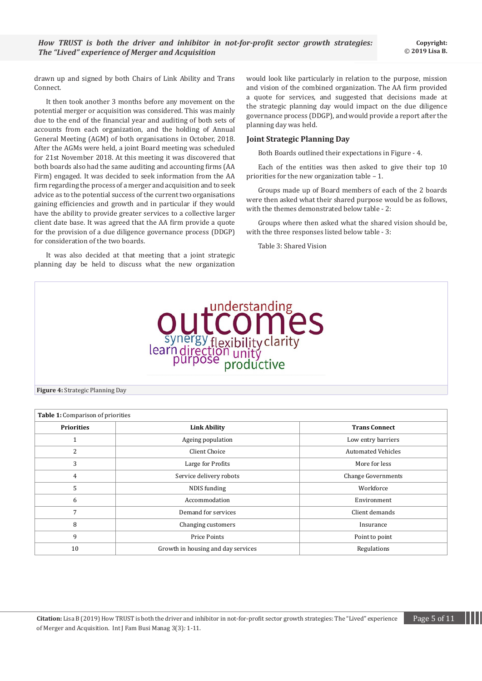drawn up and signed by both Chairs of Link Ability and Trans Connect.

It then took another 3 months before any movement on the potential merger or acquisition was considered. This was mainly due to the end of the financial year and auditing of both sets of accounts from each organization, and the holding of Annual General Meeting (AGM) of both organisations in October, 2018. After the AGMs were held, a joint Board meeting was scheduled for 21st November 2018. At this meeting it was discovered that both boards also had the same auditing and accounting firms (AA Firm) engaged. It was decided to seek information from the AA firm regarding the process of a merger and acquisition and to seek advice as to the potential success of the current two organisations gaining efficiencies and growth and in particular if they would have the ability to provide greater services to a collective larger client date base. It was agreed that the AA firm provide a quote for the provision of a due diligence governance process (DDGP) for consideration of the two boards.

It was also decided at that meeting that a joint strategic planning day be held to discuss what the new organization would look like particularly in relation to the purpose, mission and vision of the combined organization. The AA firm provided a quote for services, and suggested that decisions made at the strategic planning day would impact on the due diligence governance process (DDGP), and would provide a report after the planning day was held.

#### **Joint Strategic Planning Day**

Both Boards outlined their expectations in Figure - 4.

Each of the entities was then asked to give their top 10 priorities for the new organization table – 1.

Groups made up of Board members of each of the 2 boards were then asked what their shared purpose would be as follows, with the themes demonstrated below table - 2:

Groups where then asked what the shared vision should be, with the three responses listed below table - 3:

Table 3: Shared Vision



**Figure 4:** Strategic Planning Day

| <b>Table 1:</b> Comparison of priorities |                                    |                           |  |
|------------------------------------------|------------------------------------|---------------------------|--|
| <b>Priorities</b>                        | <b>Link Ability</b>                | <b>Trans Connect</b>      |  |
|                                          | Ageing population                  | Low entry barriers        |  |
| 2                                        | Client Choice                      | <b>Automated Vehicles</b> |  |
| 3                                        | Large for Profits                  | More for less             |  |
| 4                                        | Service delivery robots            | <b>Change Governments</b> |  |
| 5                                        | NDIS funding                       | Workforce                 |  |
| 6                                        | Accommodation                      | Environment               |  |
| 7                                        | Demand for services                | Client demands            |  |
| 8                                        | Changing customers                 | Insurance                 |  |
| 9                                        | <b>Price Points</b>                | Point to point            |  |
| 10                                       | Growth in housing and day services | Regulations               |  |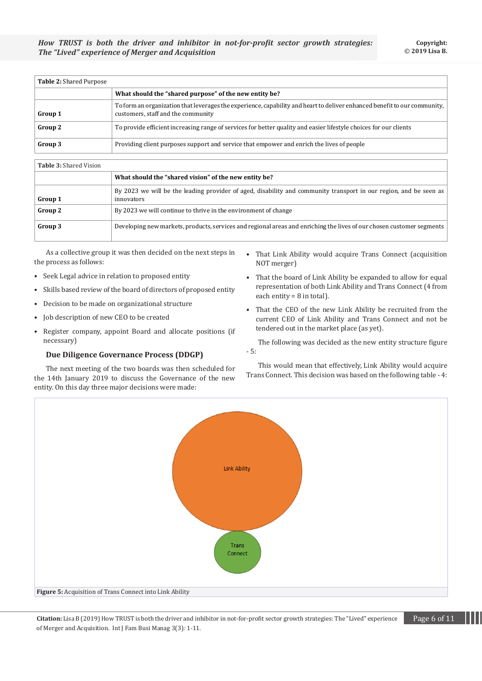| <b>Table 2: Shared Purpose</b> |                                                                                                                                                                 |
|--------------------------------|-----------------------------------------------------------------------------------------------------------------------------------------------------------------|
|                                | What should the "shared purpose" of the new entity be?                                                                                                          |
| Group 1                        | To form an organization that leverages the experience, capability and heart to deliver enhanced benefit to our community,<br>customers, staff and the community |
| Group 2                        | To provide efficient increasing range of services for better quality and easier lifestyle choices for our clients                                               |
| Group 3                        | Providing client purposes support and service that empower and enrich the lives of people                                                                       |

# **Table 3:** Shared Vision

|         | What should the "shared vision" of the new entity be?                                                                           |  |
|---------|---------------------------------------------------------------------------------------------------------------------------------|--|
| Group 1 | By 2023 we will be the leading provider of aged, disability and community transport in our region, and be seen as<br>innovators |  |
| Group 2 | By 2023 we will continue to thrive in the environment of change                                                                 |  |
| Group 3 | Developing new markets, products, services and regional areas and enriching the lives of our chosen customer segments           |  |

As a collective group it was then decided on the next steps in the process as follows:

- Seek Legal advice in relation to proposed entity
- Skills based review of the board of directors of proposed entity
- Decision to be made on organizational structure
- Job description of new CEO to be created
- Register company, appoint Board and allocate positions (if necessary)

## **Due Diligence Governance Process (DDGP)**

The next meeting of the two boards was then scheduled for the 14th January 2019 to discuss the Governance of the new entity. On this day three major decisions were made:

- That Link Ability would acquire Trans Connect (acquisition NOT merger)
- That the board of Link Ability be expanded to allow for equal representation of both Link Ability and Trans Connect (4 from each entity = 8 in total).
- That the CEO of the new Link Ability be recruited from the current CEO of Link Ability and Trans Connect and not be tendered out in the market place (as yet).

The following was decided as the new entity structure figure - 5:

This would mean that effectively, Link Ability would acquire Trans Connect. This decision was based on the following table - 4:



**Citation:** Lisa B (2019) How TRUST is both the driver and inhibitor in not-for-profit sector growth strategies: The "Lived" experience Page 6 of 11 of Merger and Acquisition. Int J Fam Busi Manag 3(3)*:* 1*-*11.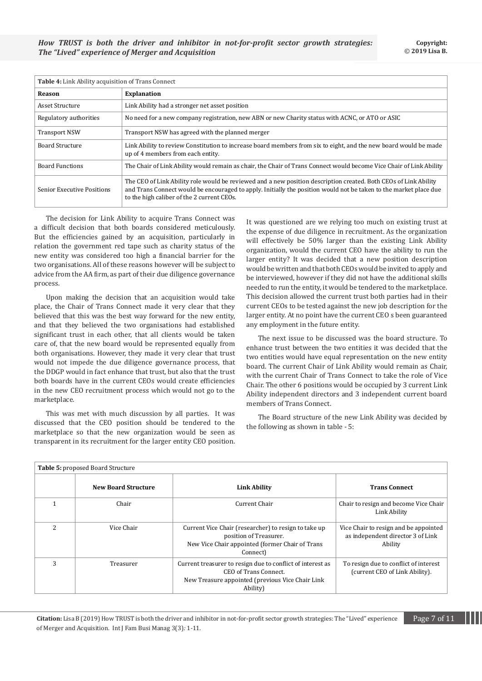| <b>Table 4:</b> Link Ability acquisition of Trans Connect |                                                                                                                                                                                                                                                                                     |  |
|-----------------------------------------------------------|-------------------------------------------------------------------------------------------------------------------------------------------------------------------------------------------------------------------------------------------------------------------------------------|--|
| <b>Reason</b>                                             | <b>Explanation</b>                                                                                                                                                                                                                                                                  |  |
| Asset Structure                                           | Link Ability had a stronger net asset position                                                                                                                                                                                                                                      |  |
| Regulatory authorities                                    | No need for a new company registration, new ABN or new Charity status with ACNC, or ATO or ASIC                                                                                                                                                                                     |  |
| <b>Transport NSW</b>                                      | Transport NSW has agreed with the planned merger                                                                                                                                                                                                                                    |  |
| <b>Board Structure</b>                                    | Link Ability to review Constitution to increase board members from six to eight, and the new board would be made<br>up of 4 members from each entity.                                                                                                                               |  |
| <b>Board Functions</b>                                    | The Chair of Link Ability would remain as chair, the Chair of Trans Connect would become Vice Chair of Link Ability                                                                                                                                                                 |  |
| <b>Senior Executive Positions</b>                         | The CEO of Link Ability role would be reviewed and a new position description created. Both CEOs of Link Ability<br>and Trans Connect would be encouraged to apply. Initially the position would not be taken to the market place due<br>to the high caliber of the 2 current CEOs. |  |

The decision for Link Ability to acquire Trans Connect was a difficult decision that both boards considered meticulously. But the efficiencies gained by an acquisition, particularly in relation the government red tape such as charity status of the new entity was considered too high a financial barrier for the two organisations. All of these reasons however will be subject to advice from the AA firm, as part of their due diligence governance process.

Upon making the decision that an acquisition would take place, the Chair of Trans Connect made it very clear that they believed that this was the best way forward for the new entity, and that they believed the two organisations had established significant trust in each other, that all clients would be taken care of, that the new board would be represented equally from both organisations. However, they made it very clear that trust would not impede the due diligence governance process, that the DDGP would in fact enhance that trust, but also that the trust both boards have in the current CEOs would create efficiencies in the new CEO recruitment process which would not go to the marketplace.

This was met with much discussion by all parties. It was discussed that the CEO position should be tendered to the marketplace so that the new organization would be seen as transparent in its recruitment for the larger entity CEO position.

It was questioned are we relying too much on existing trust at the expense of due diligence in recruitment. As the organization will effectively be 50% larger than the existing Link Ability organization, would the current CEO have the ability to run the larger entity? It was decided that a new position description would be written and that both CEOs would be invited to apply and be interviewed, however if they did not have the additional skills needed to run the entity, it would be tendered to the marketplace. This decision allowed the current trust both parties had in their current CEOs to be tested against the new job description for the larger entity. At no point have the current CEO s been guaranteed any employment in the future entity.

The next issue to be discussed was the board structure. To enhance trust between the two entities it was decided that the two entities would have equal representation on the new entity board. The current Chair of Link Ability would remain as Chair, with the current Chair of Trans Connect to take the role of Vice Chair. The other 6 positions would be occupied by 3 current Link Ability independent directors and 3 independent current board members of Trans Connect.

The Board structure of the new Link Ability was decided by the following as shown in table - 5:

| Table 5: proposed Board Structure |                            |                                                                                                                                                     |                                                                                       |
|-----------------------------------|----------------------------|-----------------------------------------------------------------------------------------------------------------------------------------------------|---------------------------------------------------------------------------------------|
|                                   | <b>New Board Structure</b> | <b>Link Ability</b>                                                                                                                                 | <b>Trans Connect</b>                                                                  |
|                                   | Chair                      | Current Chair                                                                                                                                       | Chair to resign and become Vice Chair<br>Link Ability                                 |
| 2                                 | Vice Chair                 | Current Vice Chair (researcher) to resign to take up<br>position of Treasurer.<br>New Vice Chair appointed (former Chair of Trans<br>Connect)       | Vice Chair to resign and be appointed<br>as independent director 3 of Link<br>Ability |
| 3                                 | Treasurer                  | Current treasurer to resign due to conflict of interest as<br>CEO of Trans Connect.<br>New Treasure appointed (previous Vice Chair Link<br>Ability) | To resign due to conflict of interest<br>(current CEO of Link Ability).               |

**Citation:** Lisa B (2019) How TRUST is both the driver and inhibitor in not-for-profit sector growth strategies: The "Lived" experience Page 7 of 11 of Merger and Acquisition. Int J Fam Busi Manag 3(3)*:* 1*-*11.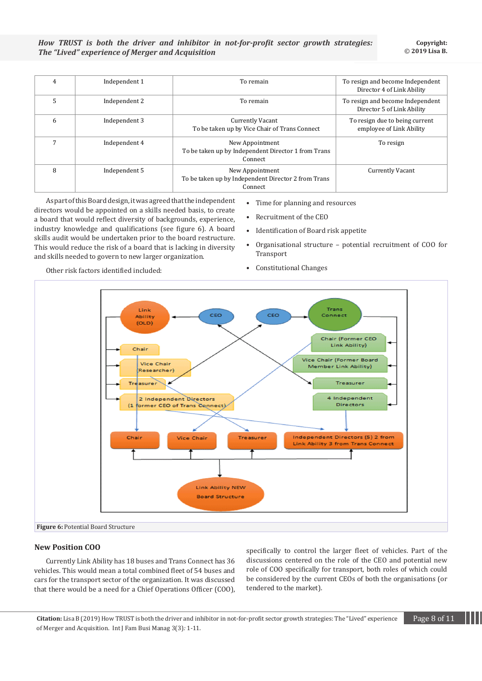*How TRUST is both the driver and inhibitor in not-for-profit sector growth strategies: The "Lived" experience of Merger and Acquisition* 

| 4 | Independent 1 | To remain                                                                         | To resign and become Independent<br>Director 4 of Link Ability |
|---|---------------|-----------------------------------------------------------------------------------|----------------------------------------------------------------|
| 5 | Independent 2 | To remain                                                                         | To resign and become Independent<br>Director 5 of Link Ability |
| 6 | Independent 3 | <b>Currently Vacant</b><br>To be taken up by Vice Chair of Trans Connect          | To resign due to being current<br>employee of Link Ability     |
|   | Independent 4 | New Appointment<br>To be taken up by Independent Director 1 from Trans<br>Connect | To resign                                                      |
| 8 | Independent 5 | New Appointment<br>To be taken up by Independent Director 2 from Trans<br>Connect | <b>Currently Vacant</b>                                        |

As part of this Board design, it was agreed that the independent directors would be appointed on a skills needed basis, to create a board that would reflect diversity of backgrounds, experience, industry knowledge and qualifications (see figure 6). A board skills audit would be undertaken prior to the board restructure. This would reduce the risk of a board that is lacking in diversity and skills needed to govern to new larger organization.

- Time for planning and resources
- Recruitment of the CEO
- Identification of Board risk appetite
- Organisational structure potential recruitment of COO for Transport

Other risk factors identified included:

• Constitutional Changes



#### **New Position COO**

Currently Link Ability has 18 buses and Trans Connect has 36 vehicles. This would mean a total combined fleet of 54 buses and cars for the transport sector of the organization. It was discussed that there would be a need for a Chief Operations Officer (COO), specifically to control the larger fleet of vehicles. Part of the discussions centered on the role of the CEO and potential new role of COO specifically for transport, both roles of which could be considered by the current CEOs of both the organisations (or tendered to the market).

**Citation:** Lisa B (2019) How TRUST is both the driver and inhibitor in not-for-profit sector growth strategies: The "Lived" experience **Page 8 of 11** of Merger and Acquisition. Int J Fam Busi Manag 3(3)*:* 1*-*11.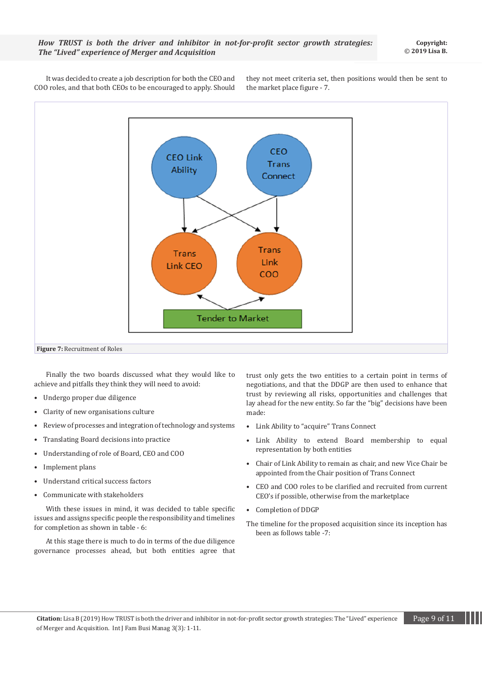**Copyright:** © **2019 Lisa B.**

It was decided to create a job description for both the CEO and COO roles, and that both CEOs to be encouraged to apply. Should

they not meet criteria set, then positions would then be sent to the market place figure - 7.



Finally the two boards discussed what they would like to achieve and pitfalls they think they will need to avoid:

- Undergo proper due diligence
- Clarity of new organisations culture
- Review of processes and integration of technology and systems
- Translating Board decisions into practice
- Understanding of role of Board, CEO and COO
- Implement plans
- Understand critical success factors
- Communicate with stakeholders

With these issues in mind, it was decided to table specific issues and assigns specific people the responsibility and timelines for completion as shown in table - 6:

At this stage there is much to do in terms of the due diligence governance processes ahead, but both entities agree that trust only gets the two entities to a certain point in terms of negotiations, and that the DDGP are then used to enhance that trust by reviewing all risks, opportunities and challenges that lay ahead for the new entity. So far the "big" decisions have been made:

- Link Ability to "acquire" Trans Connect
- Link Ability to extend Board membership to equal representation by both entities
- Chair of Link Ability to remain as chair, and new Vice Chair be appointed from the Chair position of Trans Connect
- CEO and COO roles to be clarified and recruited from current CEO's if possible, otherwise from the marketplace
- Completion of DDGP
- The timeline for the proposed acquisition since its inception has been as follows table -7: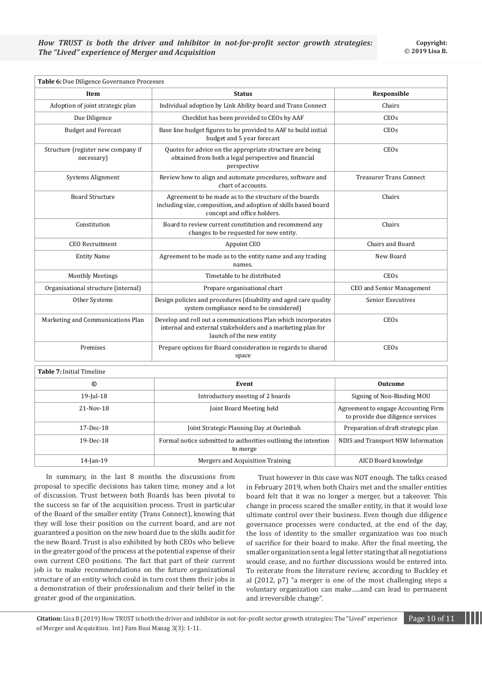| Table 6: Due Diligence Governance Processes      |                                                                                                                                                          |                                |  |
|--------------------------------------------------|----------------------------------------------------------------------------------------------------------------------------------------------------------|--------------------------------|--|
| Item                                             | <b>Status</b>                                                                                                                                            | Responsible                    |  |
| Adoption of joint strategic plan                 | Individual adoption by Link Ability board and Trans Connect                                                                                              | Chairs                         |  |
| Due Diligence                                    | Checklist has been provided to CEOs by AAF                                                                                                               | CEO <sub>s</sub>               |  |
| <b>Budget and Forecast</b>                       | Base line budget figures to be provided to AAF to build initial<br>budget and 5 year forecast                                                            | CEO <sub>s</sub>               |  |
| Structure (register new company if<br>necessary) | Quotes for advice on the appropriate structure are being<br>obtained from both a legal perspective and financial<br>perspective                          | CEOs                           |  |
| Systems Alignment                                | Review how to align and automate procedures, software and<br>chart of accounts.                                                                          | <b>Treasurer Trans Connect</b> |  |
| <b>Board Structure</b>                           | Agreement to be made as to the structure of the boards<br>including size, composition, and adoption of skills based board<br>concept and office holders. | Chairs                         |  |
| Constitution                                     | Board to review current constitution and recommend any<br>changes to be requested for new entity.                                                        | Chairs                         |  |
| <b>CEO</b> Recruitment                           | Appoint CEO                                                                                                                                              | Chairs and Board               |  |
| <b>Entity Name</b>                               | Agreement to be made as to the entity name and any trading<br>names.                                                                                     | New Board                      |  |
| <b>Monthly Meetings</b>                          | Timetable to be distributed                                                                                                                              | CEO <sub>s</sub>               |  |
| Organisational structure (internal)              | Prepare organisational chart                                                                                                                             | CEO and Senior Management      |  |
| Other Systems                                    | Design policies and procedures (disability and aged care quality<br>system compliance need to be considered)                                             | Senior Executives              |  |
| Marketing and Communications Plan                | Develop and roll out a communications Plan which incorporates<br>internal and external stakeholders and a marketing plan for<br>launch of the new entity | CEOs                           |  |
| Premises                                         | Prepare options for Board consideration in regards to shared<br>space                                                                                    | CEOs                           |  |
| Table 7: Initial Timeline                        |                                                                                                                                                          |                                |  |

| 1 <b>avi</b> t 7 . mittai 1 mittiilt |                                                                            |                                                                          |
|--------------------------------------|----------------------------------------------------------------------------|--------------------------------------------------------------------------|
| ©                                    | Event                                                                      | <b>Outcome</b>                                                           |
| $19$ -Jul- $18$                      | Introductory meeting of 2 boards                                           | Signing of Non-Binding MOU                                               |
| $21 - Nov-18$                        | Joint Board Meeting held                                                   | Agreement to engage Accounting Firm<br>to provide due diligence services |
| $17 - Dec-18$                        | Joint Strategic Planning Day at Ourimbah                                   | Preparation of draft strategic plan                                      |
| $19-Dec-18$                          | Formal notice submitted to authorities outlining the intention<br>to merge | NDIS and Transport NSW Information                                       |
| $14$ -Jan-19                         | Mergers and Acquisition Training                                           | AICD Board knowledge                                                     |

In summary, in the last 8 months the discussions from proposal to specific decisions has taken time, money and a lot of discussion. Trust between both Boards has been pivotal to the success so far of the acquisition process. Trust in particular of the Board of the smaller entity (Trans Connect), knowing that they will lose their position on the current board, and are not guaranteed a position on the new board due to the skills audit for the new Board. Trust is also exhibited by both CEOs who believe in the greater good of the process at the potential expense of their own current CEO positions. The fact that part of their current job is to make recommendations on the future organizational structure of an entity which could in turn cost them their jobs is a demonstration of their professionalism and their belief in the greater good of the organization.

Trust however in this case was NOT enough. The talks ceased in February 2019, when both Chairs met and the smaller entities board felt that it was no longer a merger, but a takeover. This change in process scared the smaller entity, in that it would lose ultimate control over their business. Even though due diligence governance processes were conducted, at the end of the day, the loss of identity to the smaller organization was too much of sacrifice for their board to make. After the final meeting, the smaller organization sent a legal letter stating that all negotiations would cease, and no further discussions would be entered into. To reiterate from the literature review, according to Buckley et al (2012, p7) "a merger is one of the most challenging steps a voluntary organization can make…..and can lead to permanent and irreversible change".

**Citation:** Lisa B (2019) How TRUST is both the driver and inhibitor in not-for-profit sector growth strategies: The "Lived" experience Page 10 of 11 of Merger and Acquisition. Int J Fam Busi Manag 3(3)*:* 1*-*11.